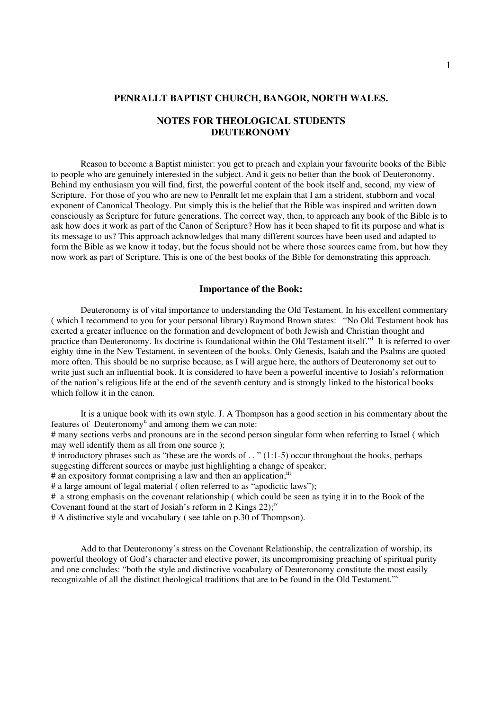# **PENRALLT BAPTIST CHURCH, BANGOR, NORTH WALES.**

# **NOTES FOR THEOLOGICAL STUDENTS DEUTERONOMY**

Reason to become a Baptist minister: you get to preach and explain your favourite books of the Bible to people who are genuinely interested in the subject. And it gets no better than the book of Deuteronomy. Behind my enthusiasm you will find, first, the powerful content of the book itself and, second, my view of Scripture. For those of you who are new to Penrallt let me explain that I am a strident, stubborn and vocal exponent of Canonical Theology. Put simply this is the belief that the Bible was inspired and written down consciously as Scripture for future generations. The correct way, then, to approach any book of the Bible is to ask how does it work as part of the Canon of Scripture? How has it been shaped to fit its purpose and what is its message to us? This approach acknowledges that many different sources have been used and adapted to form the Bible as we know it today, but the focus should not be where those sources came from, but how they now work as part of Scripture. This is one of the best books of the Bible for demonstrating this approach.

# **Importance of the Book:**

Deuteronomy is of vital importance to understanding the Old Testament. In his excellent commentary ( which I recommend to you for your personal library) Raymond Brown states: "No Old Testament book has exerted a greater influence on the formation and development of both Jewish and Christian thought and practice than Deuteronomy. Its doctrine is foundational within the Old Testament itself." It is referred to over eighty time in the New Testament, in seventeen of the books. Only Genesis, Isaiah and the Psalms are quoted more often. This should be no surprise because, as I will argue here, the authors of Deuteronomy set out to write just such an influential book. It is considered to have been a powerful incentive to Josiah's reformation of the nation's religious life at the end of the seventh century and is strongly linked to the historical books which follow it in the canon.

It is a unique book with its own style. J. A Thompson has a good section in his commentary about the features of Deuteronomy<sup>ii</sup> and among them we can note:

# many sections verbs and pronouns are in the second person singular form when referring to Israel ( which may well identify them as all from one source );

# introductory phrases such as "these are the words of . . " (1:1-5) occur throughout the books, perhaps suggesting different sources or maybe just highlighting a change of speaker;

# an expository format comprising a law and then an application;<sup>iii</sup>

# a large amount of legal material ( often referred to as "apodictic laws");

# a strong emphasis on the covenant relationship ( which could be seen as tying it in to the Book of the Covenant found at the start of Josiah's reform in  $2$  Kings  $22$ ;<sup>iv</sup>

# A distinctive style and vocabulary ( see table on p.30 of Thompson).

Add to that Deuteronomy's stress on the Covenant Relationship, the centralization of worship, its powerful theology of God's character and elective power, its uncompromising preaching of spiritual purity and one concludes: "both the style and distinctive vocabulary of Deuteronomy constitute the most easily recognizable of all the distinct theological traditions that are to be found in the Old Testament."<sup>v</sup>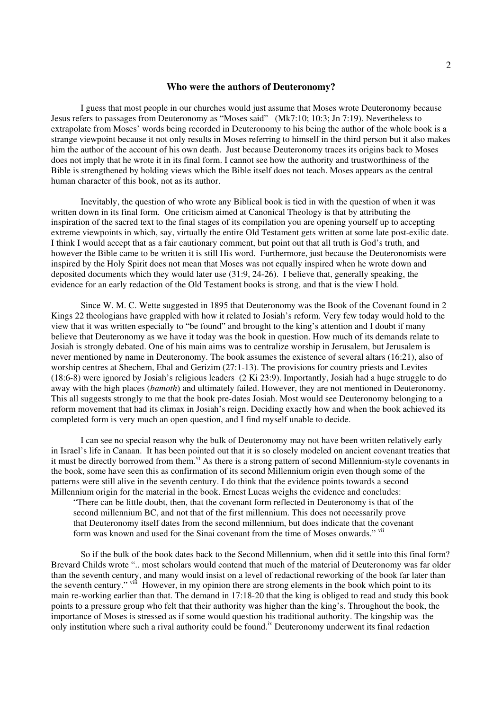#### **Who were the authors of Deuteronomy?**

I guess that most people in our churches would just assume that Moses wrote Deuteronomy because Jesus refers to passages from Deuteronomy as "Moses said" (Mk7:10; 10:3; Jn 7:19). Nevertheless to extrapolate from Moses' words being recorded in Deuteronomy to his being the author of the whole book is a strange viewpoint because it not only results in Moses referring to himself in the third person but it also makes him the author of the account of his own death. Just because Deuteronomy traces its origins back to Moses does not imply that he wrote it in its final form. I cannot see how the authority and trustworthiness of the Bible is strengthened by holding views which the Bible itself does not teach. Moses appears as the central human character of this book, not as its author.

Inevitably, the question of who wrote any Biblical book is tied in with the question of when it was written down in its final form. One criticism aimed at Canonical Theology is that by attributing the inspiration of the sacred text to the final stages of its compilation you are opening yourself up to accepting extreme viewpoints in which, say, virtually the entire Old Testament gets written at some late post-exilic date. I think I would accept that as a fair cautionary comment, but point out that all truth is God's truth, and however the Bible came to be written it is still His word. Furthermore, just because the Deuteronomists were inspired by the Holy Spirit does not mean that Moses was not equally inspired when he wrote down and deposited documents which they would later use (31:9, 24-26). I believe that, generally speaking, the evidence for an early redaction of the Old Testament books is strong, and that is the view I hold.

Since W. M. C. Wette suggested in 1895 that Deuteronomy was the Book of the Covenant found in 2 Kings 22 theologians have grappled with how it related to Josiah's reform. Very few today would hold to the view that it was written especially to "be found" and brought to the king's attention and I doubt if many believe that Deuteronomy as we have it today was the book in question. How much of its demands relate to Josiah is strongly debated. One of his main aims was to centralize worship in Jerusalem, but Jerusalem is never mentioned by name in Deuteronomy. The book assumes the existence of several altars (16:21), also of worship centres at Shechem, Ebal and Gerizim (27:1-13). The provisions for country priests and Levites (18:6-8) were ignored by Josiah's religious leaders (2 Ki 23:9). Importantly, Josiah had a huge struggle to do away with the high places (*bamoth*) and ultimately failed. However, they are not mentioned in Deuteronomy. This all suggests strongly to me that the book pre-dates Josiah. Most would see Deuteronomy belonging to a reform movement that had its climax in Josiah's reign. Deciding exactly how and when the book achieved its completed form is very much an open question, and I find myself unable to decide.

I can see no special reason why the bulk of Deuteronomy may not have been written relatively early in Israel's life in Canaan. It has been pointed out that it is so closely modeled on ancient covenant treaties that it must be directly borrowed from them.<sup>vi</sup> As there is a strong pattern of second Millennium-style covenants in the book, some have seen this as confirmation of its second Millennium origin even though some of the patterns were still alive in the seventh century. I do think that the evidence points towards a second Millennium origin for the material in the book. Ernest Lucas weighs the evidence and concludes:

"There can be little doubt, then, that the covenant form reflected in Deuteronomy is that of the second millennium BC, and not that of the first millennium. This does not necessarily prove that Deuteronomy itself dates from the second millennium, but does indicate that the covenant form was known and used for the Sinai covenant from the time of Moses onwards." vii

So if the bulk of the book dates back to the Second Millennium, when did it settle into this final form? Brevard Childs wrote ".. most scholars would contend that much of the material of Deuteronomy was far older than the seventh century, and many would insist on a level of redactional reworking of the book far later than the seventh century." vill However, in my opinion there are strong elements in the book which point to its main re-working earlier than that. The demand in 17:18-20 that the king is obliged to read and study this book points to a pressure group who felt that their authority was higher than the king's. Throughout the book, the importance of Moses is stressed as if some would question his traditional authority. The kingship was the only institution where such a rival authority could be found.<sup>ix</sup> Deuteronomy underwent its final redaction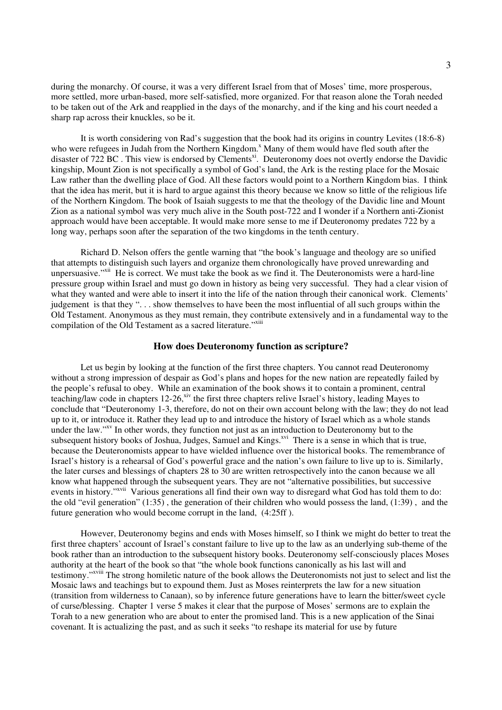during the monarchy. Of course, it was a very different Israel from that of Moses' time, more prosperous, more settled, more urban-based, more self-satisfied, more organized. For that reason alone the Torah needed to be taken out of the Ark and reapplied in the days of the monarchy, and if the king and his court needed a sharp rap across their knuckles, so be it.

It is worth considering von Rad's suggestion that the book had its origins in country Levites (18:6-8) who were refugees in Judah from the Northern Kingdom.<sup>x</sup> Many of them would have fled south after the disaster of 722 BC. This view is endorsed by Clements<sup>xi</sup>. Deuteronomy does not overtly endorse the Davidic kingship, Mount Zion is not specifically a symbol of God's land, the Ark is the resting place for the Mosaic Law rather than the dwelling place of God. All these factors would point to a Northern Kingdom bias. I think that the idea has merit, but it is hard to argue against this theory because we know so little of the religious life of the Northern Kingdom. The book of Isaiah suggests to me that the theology of the Davidic line and Mount Zion as a national symbol was very much alive in the South post-722 and I wonder if a Northern anti-Zionist approach would have been acceptable. It would make more sense to me if Deuteronomy predates 722 by a long way, perhaps soon after the separation of the two kingdoms in the tenth century.

Richard D. Nelson offers the gentle warning that "the book's language and theology are so unified that attempts to distinguish such layers and organize them chronologically have proved unrewarding and unpersuasive."<sup>xii</sup> He is correct. We must take the book as we find it. The Deuteronomists were a hard-line pressure group within Israel and must go down in history as being very successful. They had a clear vision of what they wanted and were able to insert it into the life of the nation through their canonical work. Clements' judgement is that they ". . . show themselves to have been the most influential of all such groups within the Old Testament. Anonymous as they must remain, they contribute extensively and in a fundamental way to the compilation of the Old Testament as a sacred literature."xiii

# **How does Deuteronomy function as scripture?**

Let us begin by looking at the function of the first three chapters. You cannot read Deuteronomy without a strong impression of despair as God's plans and hopes for the new nation are repeatedly failed by the people's refusal to obey. While an examination of the book shows it to contain a prominent, central teaching/law code in chapters 12-26, <sup>xiv</sup> the first three chapters relive Israel's history, leading Mayes to conclude that "Deuteronomy 1-3, therefore, do not on their own account belong with the law; they do not lead up to it, or introduce it. Rather they lead up to and introduce the history of Israel which as a whole stands under the law."<sup>XV</sup> In other words, they function not just as an introduction to Deuteronomy but to the subsequent history books of Joshua, Judges, Samuel and Kings.<sup>xvi</sup> There is a sense in which that is true, because the Deuteronomists appear to have wielded influence over the historical books. The remembrance of Israel's history is a rehearsal of God's powerful grace and the nation's own failure to live up to is. Similarly, the later curses and blessings of chapters 28 to 30 are written retrospectively into the canon because we all know what happened through the subsequent years. They are not "alternative possibilities, but successive events in history."<sup>xvii</sup> Various generations all find their own way to disregard what God has told them to do: the old "evil generation" (1:35) , the generation of their children who would possess the land, (1:39) , and the future generation who would become corrupt in the land, (4:25ff ).

However, Deuteronomy begins and ends with Moses himself, so I think we might do better to treat the first three chapters' account of Israel's constant failure to live up to the law as an underlying sub-theme of the book rather than an introduction to the subsequent history books. Deuteronomy self-consciously places Moses authority at the heart of the book so that "the whole book functions canonically as his last will and testimony."<sup>xviii</sup> The strong homiletic nature of the book allows the Deuteronomists not just to select and list the Mosaic laws and teachings but to expound them. Just as Moses reinterprets the law for a new situation (transition from wilderness to Canaan), so by inference future generations have to learn the bitter/sweet cycle of curse/blessing. Chapter 1 verse 5 makes it clear that the purpose of Moses' sermons are to explain the Torah to a new generation who are about to enter the promised land. This is a new application of the Sinai covenant. It is actualizing the past, and as such it seeks "to reshape its material for use by future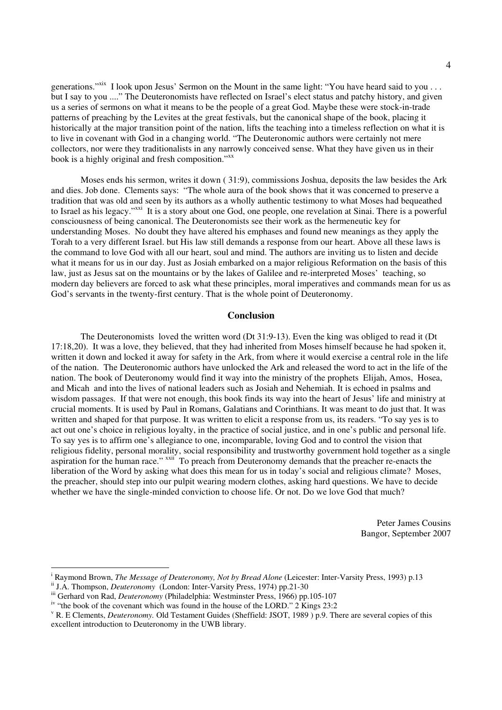generations."<sup>xix</sup> I look upon Jesus' Sermon on the Mount in the same light: "You have heard said to you . . . but I say to you ...." The Deuteronomists have reflected on Israel's elect status and patchy history, and given us a series of sermons on what it means to be the people of a great God. Maybe these were stock-in-trade patterns of preaching by the Levites at the great festivals, but the canonical shape of the book, placing it historically at the major transition point of the nation, lifts the teaching into a timeless reflection on what it is to live in covenant with God in a changing world. "The Deuteronomic authors were certainly not mere collectors, nor were they traditionalists in any narrowly conceived sense. What they have given us in their book is a highly original and fresh composition." xx

Moses ends his sermon, writes it down ( 31:9), commissions Joshua, deposits the law besides the Ark and dies. Job done. Clements says: "The whole aura of the book shows that it was concerned to preserve a tradition that was old and seen by its authors as a wholly authentic testimony to what Moses had bequeathed to Israel as his legacy."<sup>xxi</sup> It is a story about one God, one people, one revelation at Sinai. There is a powerful consciousness of being canonical. The Deuteronomists see their work as the hermeneutic key for understanding Moses. No doubt they have altered his emphases and found new meanings as they apply the Torah to a very different Israel. but His law still demands a response from our heart. Above all these laws is the command to love God with all our heart, soul and mind. The authors are inviting us to listen and decide what it means for us in our day. Just as Josiah embarked on a major religious Reformation on the basis of this law, just as Jesus sat on the mountains or by the lakes of Galilee and re-interpreted Moses' teaching, so modern day believers are forced to ask what these principles, moral imperatives and commands mean for us as God's servants in the twenty-first century. That is the whole point of Deuteronomy.

### **Conclusion**

The Deuteronomists loved the written word (Dt 31:9-13). Even the king was obliged to read it (Dt 17:18,20). It was a love, they believed, that they had inherited from Moses himself because he had spoken it, written it down and locked it away for safety in the Ark, from where it would exercise a central role in the life of the nation. The Deuteronomic authors have unlocked the Ark and released the word to act in the life of the nation. The book of Deuteronomy would find it way into the ministry of the prophets Elijah, Amos, Hosea, and Micah and into the lives of national leaders such as Josiah and Nehemiah. It is echoed in psalms and wisdom passages. If that were not enough, this book finds its way into the heart of Jesus' life and ministry at crucial moments. It is used by Paul in Romans, Galatians and Corinthians. It was meant to do just that. It was written and shaped for that purpose. It was written to elicit a response from us, its readers. "To say yes is to act out one's choice in religious loyalty, in the practice of social justice, and in one's public and personal life. To say yes is to affirm one's allegiance to one, incomparable, loving God and to control the vision that religious fidelity, personal morality, social responsibility and trustworthy government hold together as a single aspiration for the human race." xxii To preach from Deuteronomy demands that the preacher re-enacts the liberation of the Word by asking what does this mean for us in today's social and religious climate? Moses, the preacher, should step into our pulpit wearing modern clothes, asking hard questions. We have to decide whether we have the single-minded conviction to choose life. Or not. Do we love God that much?

> Peter James Cousins Bangor, September 2007

<sup>i</sup> Raymond Brown, *The Message of Deuteronomy, Not by Bread Alone* (Leicester: Inter-Varsity Press, 1993) p.13

ii J.A. Thompson, *Deuteronomy* (London: Inter-Varsity Press, 1974) pp.21-30

iii Gerhard von Rad, *Deuteronomy* (Philadelphia: Westminster Press, 1966) pp.105-107

iv "the book of the covenant which was found in the house of the LORD." 2 Kings 23:2

<sup>v</sup> R. E Clements, *Deuteronomy.* Old Testament Guides (Sheffield: JSOT, 1989 ) p.9. There are several copies of this excellent introduction to Deuteronomy in the UWB library.